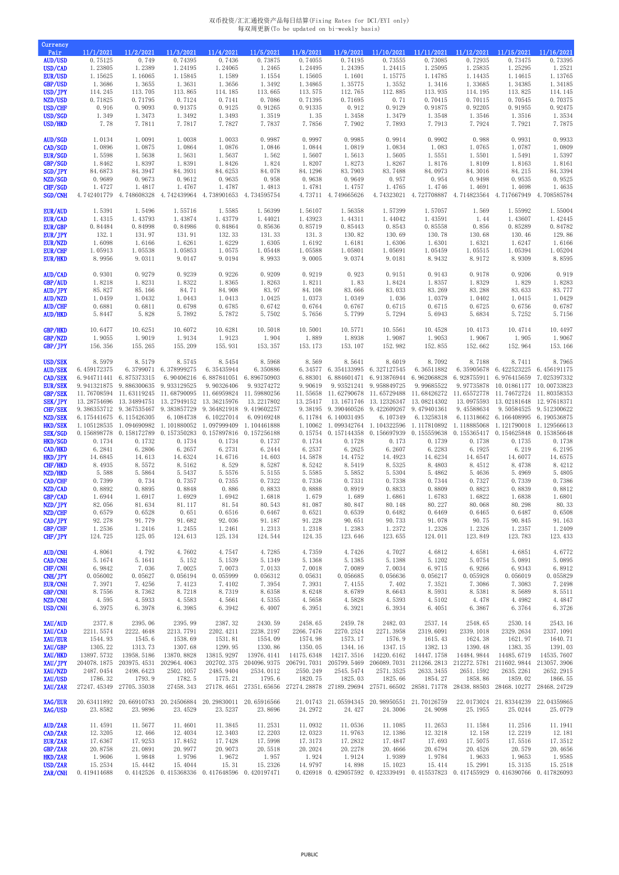## 双币投资/汇汇通投资产品每日结算(Fixing Rates for DCI/EYI only) 每双周更新(To be updated on bi-weekly basis)

| Currency                                                                                                                                                                                                                                                                                                          |                                                                                                                                                                                                       |                                                                                                                                                                                                                                                                                                                             |                                                                                                                                                                                                                                                            |                                                                                                                                                                                                                                                                                                                                                    |                                                                                                                                                                                                                |                                                                                                                                                                            |                                                                                                                                                                                                                                                                                         |                                                                                                                                                                                                                                                                                      |                                                                                                                                                                                                                                                                                      |                                                                                                                                                                                                                   |                                                                                                                                                                                                                                                                                                                                                                                 |                                                                                                                                                                                                                      |
|-------------------------------------------------------------------------------------------------------------------------------------------------------------------------------------------------------------------------------------------------------------------------------------------------------------------|-------------------------------------------------------------------------------------------------------------------------------------------------------------------------------------------------------|-----------------------------------------------------------------------------------------------------------------------------------------------------------------------------------------------------------------------------------------------------------------------------------------------------------------------------|------------------------------------------------------------------------------------------------------------------------------------------------------------------------------------------------------------------------------------------------------------|----------------------------------------------------------------------------------------------------------------------------------------------------------------------------------------------------------------------------------------------------------------------------------------------------------------------------------------------------|----------------------------------------------------------------------------------------------------------------------------------------------------------------------------------------------------------------|----------------------------------------------------------------------------------------------------------------------------------------------------------------------------|-----------------------------------------------------------------------------------------------------------------------------------------------------------------------------------------------------------------------------------------------------------------------------------------|--------------------------------------------------------------------------------------------------------------------------------------------------------------------------------------------------------------------------------------------------------------------------------------|--------------------------------------------------------------------------------------------------------------------------------------------------------------------------------------------------------------------------------------------------------------------------------------|-------------------------------------------------------------------------------------------------------------------------------------------------------------------------------------------------------------------|---------------------------------------------------------------------------------------------------------------------------------------------------------------------------------------------------------------------------------------------------------------------------------------------------------------------------------------------------------------------------------|----------------------------------------------------------------------------------------------------------------------------------------------------------------------------------------------------------------------|
| Pair<br><b>AUD/USD</b><br>USD/CAD<br><b>EUR/USD</b><br><b>GBP/USD</b><br>USD/JPY<br>NZD/USD<br>USD/CHF<br>USD/SGD<br>USD/HKD                                                                                                                                                                                      | 11/1/2021<br>0.75125<br>1.23805<br>1.15625<br>1.3686<br>114.245<br>0.71825<br>0.916<br>1.349<br>7.78                                                                                                  | 11/2/2021<br>0.749<br>1.2389<br>1.16065<br>1.3655<br>113.705<br>0.71795<br>0.9093<br>1.3473<br>7.7811                                                                                                                                                                                                                       | 11/3/2021<br>0.74395<br>1.24195<br>1.15845<br>1.3631<br>113.865<br>0.7124<br>0.91375<br>1.3492<br>7.7817                                                                                                                                                   | 11/4/2021<br>0.7436<br>1.24065<br>1.1589<br>1.3656<br>114.185<br>0.7141<br>0.9125<br>1.3493<br>7.7827                                                                                                                                                                                                                                              | 11/5/2021<br>0.73875<br>1.2465<br>1.1554<br>1.3492<br>113.665<br>0.7086<br>0.91265<br>1.3519<br>7.7837                                                                                                         | 11/8/2021<br>0.74055<br>1.24495<br>1.15605<br>1.34865<br>113.575<br>0.71395<br>0.91335<br>1.35<br>7.7856                                                                   | 11/9/2021<br>0.74195<br>1.24395<br>1.1601<br>1.35775<br>112.765<br>0.71695<br>0.912<br>1.3458<br>7.7902                                                                                                                                                                                 | 11/10/2021<br>0.73555<br>1.24415<br>1.15775<br>1.3552<br>112.885<br>0.71<br>0.9129<br>1.3479<br>7.7893                                                                                                                                                                               | 11/11/2021<br>0.73085<br>1.25095<br>1.14785<br>1.3416<br>113.935<br>0.70415<br>0.91875<br>1.3548<br>7.7913                                                                                                                                                                           | 11/12/2021<br>0.72935<br>1.25835<br>1.14435<br>1.33685<br>114.195<br>0.70115<br>0.92205<br>1.3546<br>7.7924                                                                                                       | 11/15/2021<br>0.73475<br>1.25295<br>1.14615<br>1.34385<br>113.825<br>0.70545<br>0.91955<br>1.3516<br>7.7921                                                                                                                                                                                                                                                                     | 11/16/2021<br>0.73395<br>1.2521<br>1.13765<br>1.34185<br>114.145<br>0.70375<br>0.92475<br>1.3534<br>7.7875                                                                                                           |
| AUD/SGD<br>CAD/SGD<br><b>EUR/SGD</b><br>GBP/SGD<br>SGD/JPY<br>NZD/SGD<br>CHF/SGD<br>SGD/CNH                                                                                                                                                                                                                       | 1.0134<br>1.0896<br>1.5598<br>1.8462<br>84.6873<br>0.9689<br>1.4727<br>4.742401779                                                                                                                    | 1.0091<br>1.0875<br>1.5638<br>1.8397<br>84.3947<br>0.9673<br>1.4817<br>4.748608328                                                                                                                                                                                                                                          | 1.0038<br>1.0864<br>1.5631<br>1.8391<br>84.3931<br>0.9612<br>1.4767<br>4.742439964                                                                                                                                                                         | 1.0033<br>1.0876<br>1.5637<br>1.8426<br>84.6253<br>0.9635<br>1.4787<br>4.738901653                                                                                                                                                                                                                                                                 | 0.9987<br>1.0846<br>1.562<br>1.824<br>84.078<br>0.958<br>1.4813<br>4.734595754                                                                                                                                 | 0.9997<br>1.0844<br>1.5607<br>1.8207<br>84.1296<br>0.9638<br>1.4781                                                                                                        | 0.9985<br>1.0819<br>1.5613<br>1.8273<br>83.7903<br>0.9649<br>1.4757<br>4.73711 4.749665626                                                                                                                                                                                              | 0.9914<br>1.0834<br>1.5605<br>1.8267<br>83.7488<br>0.957<br>1.4765<br>4.74323021                                                                                                                                                                                                     | 0.9902<br>1.083<br>1.5551<br>1.8176<br>84.0973<br>0.954<br>1.4746<br>4.727708887                                                                                                                                                                                                     | 0.988<br>1.0765<br>1.5501<br>1.8109<br>84.3016<br>0.9498<br>1.4691<br>4.714823564                                                                                                                                 | 0.9931<br>1.0787<br>1.5491<br>1.8163<br>84.215<br>0.9535<br>1.4698<br>4.717667949                                                                                                                                                                                                                                                                                               | 0.9933<br>1.0809<br>1.5397<br>1.8161<br>84.3394<br>0.9525<br>1.4635<br>4.708585784                                                                                                                                   |
| <b>EUR/AUD</b><br>EUR/CAD<br><b>EUR/GBP</b><br>EUR/JPY<br>EUR/NZD<br><b>EUR/CHF</b><br><b>EUR/HKD</b>                                                                                                                                                                                                             | 1.5391<br>1.4315<br>0.84484<br>132.1<br>1.6098<br>1.05913<br>8.9956                                                                                                                                   | 1.5496<br>1.43793<br>0.84998<br>131.97<br>1.6166<br>1.05538<br>9.0311                                                                                                                                                                                                                                                       | 1.55716<br>1.43874<br>0.84986<br>131.91<br>1.6261<br>1.05853<br>9.0147                                                                                                                                                                                     | 1.5585<br>1.43779<br>0.84864<br>132.33<br>1.6229<br>1.0575<br>9.0194                                                                                                                                                                                                                                                                               | 1.56399<br>1.44021<br>0.85636<br>131.33<br>1.6305<br>1.05448<br>8.9933                                                                                                                                         | 1.56107<br>1.43923<br>0.85719<br>131.3<br>1.6192<br>1.05588<br>9.0005                                                                                                      | 1.56358<br>1.44311<br>0.85443<br>130.82<br>1.6181<br>1.05801<br>9.0374                                                                                                                                                                                                                  | 1.57399<br>1.44042<br>0.8543<br>130.69<br>1.6306<br>1.05691<br>9.0181                                                                                                                                                                                                                | 1.57057<br>1.43591<br>0.85558<br>130.78<br>1.6301<br>1.05459<br>8.9432                                                                                                                                                                                                               | 1.569<br>1.44<br>0.856<br>130.68<br>1.6321<br>1.05515<br>8.9172                                                                                                                                                   | 1.55992<br>1.43607<br>0.85289<br>130.46<br>1.6247<br>1.05394<br>8.9309                                                                                                                                                                                                                                                                                                          | 1.55004<br>1.42445<br>0.84782<br>129.86<br>1.6166<br>1.05204<br>8.8595                                                                                                                                               |
| AUD/CAD<br>GBP/AUD<br>AUD/JPY<br><b>AUD/NZD</b><br><b>AUD/CHF</b><br><b>AUD/HKD</b>                                                                                                                                                                                                                               | 0.9301<br>1.8218<br>85.827<br>1.0459<br>0.6881<br>5.8447                                                                                                                                              | 0.9279<br>1.8231<br>85.166<br>1.0432<br>0.6811<br>5.828                                                                                                                                                                                                                                                                     | 0.9239<br>1.8322<br>84.71<br>1.0443<br>0.6798<br>5.7892                                                                                                                                                                                                    | 0.9226<br>1.8365<br>84.908<br>1.0413<br>0.6785<br>5.7872                                                                                                                                                                                                                                                                                           | 0.9209<br>1.8263<br>83.97<br>1.0425<br>0.6742<br>5.7502                                                                                                                                                        | 0.9219<br>1.8211<br>84.108<br>1.0373<br>0.6764<br>5.7656                                                                                                                   | 0.923<br>1.83<br>83.666<br>1.0349<br>0.6767<br>5.7799                                                                                                                                                                                                                                   | 0.9151<br>1.8424<br>83.033<br>1.036<br>0.6715<br>5.7294                                                                                                                                                                                                                              | 0.9143<br>1.8357<br>83.269<br>1.0379<br>0.6715<br>5.6943                                                                                                                                                                                                                             | 0.9178<br>1.8329<br>83.288<br>1.0402<br>0.6725<br>5.6834                                                                                                                                                          | 0.9206<br>1.829<br>83.633<br>1.0415<br>0.6756<br>5.7252                                                                                                                                                                                                                                                                                                                         | 0.919<br>1.8283<br>83.777<br>1.0429<br>0.6787<br>5.7156                                                                                                                                                              |
| GBP/HKD<br>GBP/NZD<br>GBP/JPY                                                                                                                                                                                                                                                                                     | 10.6477<br>1.9055<br>156.356                                                                                                                                                                          | 10.6251<br>1.9019<br>155.265                                                                                                                                                                                                                                                                                                | 10.6072<br>1.9134<br>155.209                                                                                                                                                                                                                               | 10.6281<br>1.9123<br>155.931                                                                                                                                                                                                                                                                                                                       | 10.5018<br>1.904<br>153.357                                                                                                                                                                                    | 10.5001<br>1.889<br>153.173                                                                                                                                                | 10.5771<br>1.8938<br>153.107                                                                                                                                                                                                                                                            | 10.5561<br>1.9087<br>152.982                                                                                                                                                                                                                                                         | 10.4528<br>1.9053<br>152.855                                                                                                                                                                                                                                                         | 10.4173<br>1.9067<br>152.662                                                                                                                                                                                      | 10.4714<br>1.905<br>152.964                                                                                                                                                                                                                                                                                                                                                     | 10.4497<br>1.9067<br>153.166                                                                                                                                                                                         |
| <b>USD/SEK</b><br><b>AUD/SEK</b><br><b>CAD/SEK</b><br><b>EUR/SEK</b><br><b>GBP/SEK</b><br><b>SEK/JPY</b><br>CHF/SEK<br>NZD/SEK<br><b>HKD/SEK</b><br><b>SEK/SGD</b><br>HKD/SGD<br>CAD/HKD<br>HKD/JPY<br>CHF/HKD<br>NZD/HKD<br>CAD/CHF<br>NZD/CAD<br>GBP/CAD<br>NZD/JPY<br>NZD/CHF<br>CAD/JPY<br>GBP/CHF<br>CHF/JPY | 8.5979<br>6.459172375<br>11.76708594<br>13.28754696<br>1.105128535<br>0.1734<br>6.2841<br>14.6845<br>8.4935<br>5.588<br>0.7399<br>0.8892<br>1.6944<br>82.056<br>0.6579<br>92.278<br>1.2536<br>124.725 | 8.5179<br>6.944711441 6.875373315<br>9.941321875 9.886300635<br>11.63119245<br>13.34894751<br>9.386353712 9.367535467<br>6.175441675 6.115426305<br>1.094690982<br>0.156898778 0.158172789<br>0.1732<br>6.2806<br>14.613<br>8.5572<br>5.5864<br>0.734<br>0.8895<br>1.6917<br>81.634<br>0.6528<br>91.779<br>1.2416<br>125.05 | 8.5745<br>6.3799071 6.378999275<br>9.933129525<br>11.68790095<br>13.27949152<br>9.383857729<br>6.1084738<br>1.101880052<br>0.1734<br>6.2657<br>14.6324<br>8.5162<br>5.5437<br>0.7357<br>0.8848<br>1.6929<br>81.117<br>0.651<br>91.682<br>1.2455<br>124.613 | 8.5454<br>6.35435944<br>6.90406216 6.887841051 6.896750903<br>9.90326406<br>11.66959824 11.59880256<br>13.36215976<br>9.364821918 9.419602257<br>6.10227014<br>1.097999409<br>0.157350283 0.157897816 0.157256188<br>0.1734<br>6.2731<br>14.6716<br>8.529<br>5.5576<br>0.7355<br>0.886<br>1.6942<br>81.54<br>0.6516<br>92.036<br>1.2461<br>125.134 | 8.5968<br>6.350886<br>9.93274272<br>13.2217802<br>6.09169248<br>1.104461888<br>0.1737<br>6.2444<br>14.603<br>8.5287<br>5.5155<br>0.7322<br>0.8833<br>1.6818<br>80.543<br>0.6467<br>91.187<br>1.2313<br>124.544 | 8.569<br>9.90619<br>11.55658<br>13.25417<br>0.1734<br>6.2537<br>14.5878<br>8.5242<br>5.5585<br>0.7336<br>0.8888<br>1.679<br>81.087<br>0.6521<br>91.228<br>1.2318<br>124.35 | 8.5641<br>9.93521241<br>9.38195 9.390460526 9.422609267<br>6.11784 6.140031495<br>1.10062 1.099342764 1.104322596<br>0.15754 0.157144358 0.156697939<br>0.1728<br>6.2625<br>14.4752<br>8.5419<br>5.5852<br>0.7331<br>0.8919<br>1.689<br>80.847<br>0.6539<br>90.651<br>1.2383<br>123.646 | 8.6019<br>6.88301 6.884601471 6.913876944 6.962068828<br>9.958849725<br>11.62790678 11.65729488 11.68426272<br>13.1671746 13.12326347<br>6.107349<br>0.173<br>6.2607<br>14.4923<br>8.5325<br>5.5304<br>0.7338<br>0.8833<br>1.6861<br>80.148<br>0.6482<br>90.733<br>1.2372<br>123.655 | 8.7092<br>6. 34577 6. 354133995 6. 327127545 6. 36511882<br>9.99685522<br>13.08214302<br>9.479401361<br>6.13258318<br>1.117810892<br>0.155559638<br>0.1739<br>6.2283<br>14.6234<br>8.4803<br>5.4862<br>0.7344<br>0.8809<br>1.6783<br>80.227<br>0.6469<br>91.078<br>1.2326<br>124.011 | 8.7188<br>9.97735878<br>11.65572778<br>13.0975593<br>9.45588634<br>1.118885068<br>0.1738<br>6.1925<br>14.6547<br>8.4512<br>5.4636<br>0.7327<br>0.8823<br>1.6822<br>80.068<br>0.6465<br>90.75<br>1.2326<br>123.849 | 8.7411<br>6.35905678 6.422523225 6.456191175<br>6.928755911 6.976415659<br>10.01861177<br>11.74672724 11.80358353<br>13.02181648<br>9.50584525<br>6.11318662 6.166408995 6.190536875<br>1.121790018<br>0.155365417  0.154625848  0.153856648<br>0.1735<br>6.219<br>14.6077<br>8.4738<br>5.4969<br>0.7339<br>0.8839<br>1.6838<br>80.298<br>0.6487<br>90.845<br>1.2357<br>123.783 | 8.7965<br>7.025397332<br>10.00733823<br>12.97618371<br>9.512300622<br>1.129566613<br>0.1738<br>6.2195<br>14.6575<br>8.4212<br>5.4805<br>0.7386<br>0.8812<br>1.6801<br>80.33<br>0.6508<br>91.163<br>1.2409<br>123.433 |
| <b>AUD/CNH</b><br>CAD/CNH<br>CHF/CNH<br>CNH/JPY<br><b>EUR/CNH</b><br>GBP/CNH<br>NZD/CNH<br>USD/CNH                                                                                                                                                                                                                | 4.8061<br>5.1674<br>6.9842<br>0.056002<br>7.3971<br>8.7556<br>4.595<br>6.3975                                                                                                                         | 4.792<br>5.1641<br>7.036<br>0.05627<br>7.4256<br>8.7362<br>4.5933<br>6.3978                                                                                                                                                                                                                                                 | 4.7602<br>5.152<br>7.0025<br>0.056194<br>7.4123<br>8.7218<br>4.5583<br>6.3985                                                                                                                                                                              | 4.7547<br>5.1539<br>7.0073<br>0.055999<br>7.4102<br>8.7319<br>4.5661<br>6.3942                                                                                                                                                                                                                                                                     | 4.7285<br>5.1349<br>7.0133<br>0.056312<br>7.3954<br>8.6358<br>4.5355<br>6.4007                                                                                                                                 | 4.7359<br>5.1368<br>7.0018<br>0.05631<br>7.3931<br>8.6248<br>4.5658<br>6.3951                                                                                              | 4.7426<br>5.1385<br>7.0089<br>0.056685<br>7.4155<br>8.6789<br>4.5828<br>6.3921                                                                                                                                                                                                          | 4.7027<br>5.1388<br>7.0034<br>0.056636<br>7.402<br>8.6643<br>4.5393<br>6.3934                                                                                                                                                                                                        | 4.6812<br>5.1202<br>6.9715<br>0.056217<br>7.3521<br>8.5931<br>4.5102<br>6.4051                                                                                                                                                                                                       | 4.6581<br>5.0754<br>6.9266<br>0.055928<br>7.3086<br>8.5381<br>4.478<br>6.3867                                                                                                                                     | 4.6851<br>5.0891<br>6.9343<br>0.056019<br>7.3083<br>8.5689<br>4.4982<br>6.3764                                                                                                                                                                                                                                                                                                  | 4.6772<br>5.0895<br>6.8912<br>0.055829<br>7.2498<br>8.5511<br>4.4847<br>6.3726                                                                                                                                       |
| XAU/AUD<br>XAU/CAD<br>XAU/EUR<br>XAU/GBP<br><b>XAU/HKD</b><br>XAU/JPY<br>XAU/NZD<br>XAU/USD<br>XAU/ZAR                                                                                                                                                                                                            | 2377.8<br>2211.5574<br>1544.93<br>1305.22<br>13897.5732<br>204078.1875<br>2487.0454<br>1786.32<br>27247.45349                                                                                         | 2395.06<br>2222.4648<br>1545.6<br>1313.73<br>13958.5186<br>203975.4531<br>2498.6423<br>1793.9<br>27705.35038                                                                                                                                                                                                                | 2395.99<br>2213.7791<br>1538.69<br>1307.68<br>13870.8828<br>202964.4063<br>2502.1057<br>1782.5<br>27458.343                                                                                                                                                | 2387.32<br>2202.4211<br>1531.81<br>1299.95<br>13815.9297<br>202702.375<br>2485.9404<br>1775.21<br>27178.4651                                                                                                                                                                                                                                       | 2430.59<br>2238.2197<br>1554.09<br>1330.86<br>13976.4141<br>204096.9375<br>2534.0112<br>1795.6<br>27351.65656 27274.28878                                                                                      | 2458.65<br>2266.7476<br>1574.98<br>1350.05<br>14175.6348<br>206791.7031<br>2550.249<br>1820.75                                                                             | 2459.78<br>2270.2524<br>1573.17<br>1344.16<br>14217.3516<br>205799.5469<br>2545.5474<br>1825.03                                                                                                                                                                                         | 2482.03<br>2271.3958<br>1576.9<br>1347.15<br>14220.6162<br>206089.7031<br>2571.3525<br>1825.66<br>27189.29694 27571.66502                                                                                                                                                            | 2537.14<br>2319.6091<br>1615.43<br>1382.13<br>14447.1758<br>211266.2813<br>2633.3455<br>1854.27<br>28581.71778                                                                                                                                                                       | 2548.65<br>2339.1018<br>1624.38<br>1390.48<br>14484.9844<br>212272.5781<br>2651.1592<br>1858.86<br>28438.88503                                                                                                    | 2530.14<br>2329.2634<br>1621.97<br>1383.35<br>14485.6719<br>211602.9844<br>2635.2261<br>1859.02<br>28468.10277                                                                                                                                                                                                                                                                  | 2543.16<br>2337.1091<br>1640.71<br>1391.03<br>14535.7607<br>213057.3906<br>2652.2915<br>1866.55<br>28468.24729                                                                                                       |
| XAG/EUR<br>XAG/USD                                                                                                                                                                                                                                                                                                | 23.8582                                                                                                                                                                                               | 23.9896                                                                                                                                                                                                                                                                                                                     | 20.63411892 20.66910783 20.24506884 20.29830011 20.65916566<br>23.4529                                                                                                                                                                                     | 23.5237                                                                                                                                                                                                                                                                                                                                            | 23.8696                                                                                                                                                                                                        | 24.2972                                                                                                                                                                    | 24.427                                                                                                                                                                                                                                                                                  | 24.3006                                                                                                                                                                                                                                                                              | 21.01743 21.05594345 20.98950551 21.70126759<br>24.9098                                                                                                                                                                                                                              | 25.1955                                                                                                                                                                                                           | 22.0173024 21.83344239 22.04359865<br>25.0244                                                                                                                                                                                                                                                                                                                                   | 25.0779                                                                                                                                                                                                              |
| AUD/ZAR<br>CAD/ZAR<br>EUR/ZAR<br>GBP/ZAR<br>HKD/ZAR<br>USD/ZAR<br>ZAR/CNH                                                                                                                                                                                                                                         | 11.4591<br>12.3205<br>17.6367<br>20.8758<br>1.9606<br>15.2534<br>0.419414688                                                                                                                          | 11.5677<br>12.466<br>17.9253<br>21.0891<br>1.9848<br>15.4442                                                                                                                                                                                                                                                                | 11.4601<br>12.4034<br>17.8452<br>20.9977<br>1.9796<br>15.4044<br>0.4142526 0.415368336 0.417648596 0.420197471                                                                                                                                             | 11.3845<br>12.3403<br>17.7428<br>20.9073<br>1.9672<br>15.31                                                                                                                                                                                                                                                                                        | 11.2531<br>12.2203<br>17.5998<br>20.5518<br>1.957<br>15.2326                                                                                                                                                   | 11.0932<br>12.0323<br>17.3173<br>20.2024<br>1.924<br>14.9797                                                                                                               | 11.0536<br>11.9763<br>17.2832<br>20.2278<br>1.9124<br>14.898                                                                                                                                                                                                                            | 11.1085<br>12.1386<br>17.4847<br>20.4666<br>1.9389<br>15.1023                                                                                                                                                                                                                        | 11.2653<br>12.3218<br>17.693<br>20.6794<br>1.9784<br>15.414<br>$0.\,\, 426918 \quad 0.\,\, 429057592 \quad 0.\,\, 423339491 \quad 0.\,\, 415537823 \quad 0.\,\, 417455929 \quad 0.\,\, 416390766 \quad 0.\,\, 417826093$                                                             | 11.1584<br>12.158<br>17.5075<br>20.4526<br>1.9633<br>15.2991                                                                                                                                                      | 11.2516<br>12.2219<br>17.5516<br>20.579<br>1.9653<br>15.3135                                                                                                                                                                                                                                                                                                                    | 11.1941<br>12.181<br>17.3512<br>20.4656<br>1.9585<br>15.2518                                                                                                                                                         |